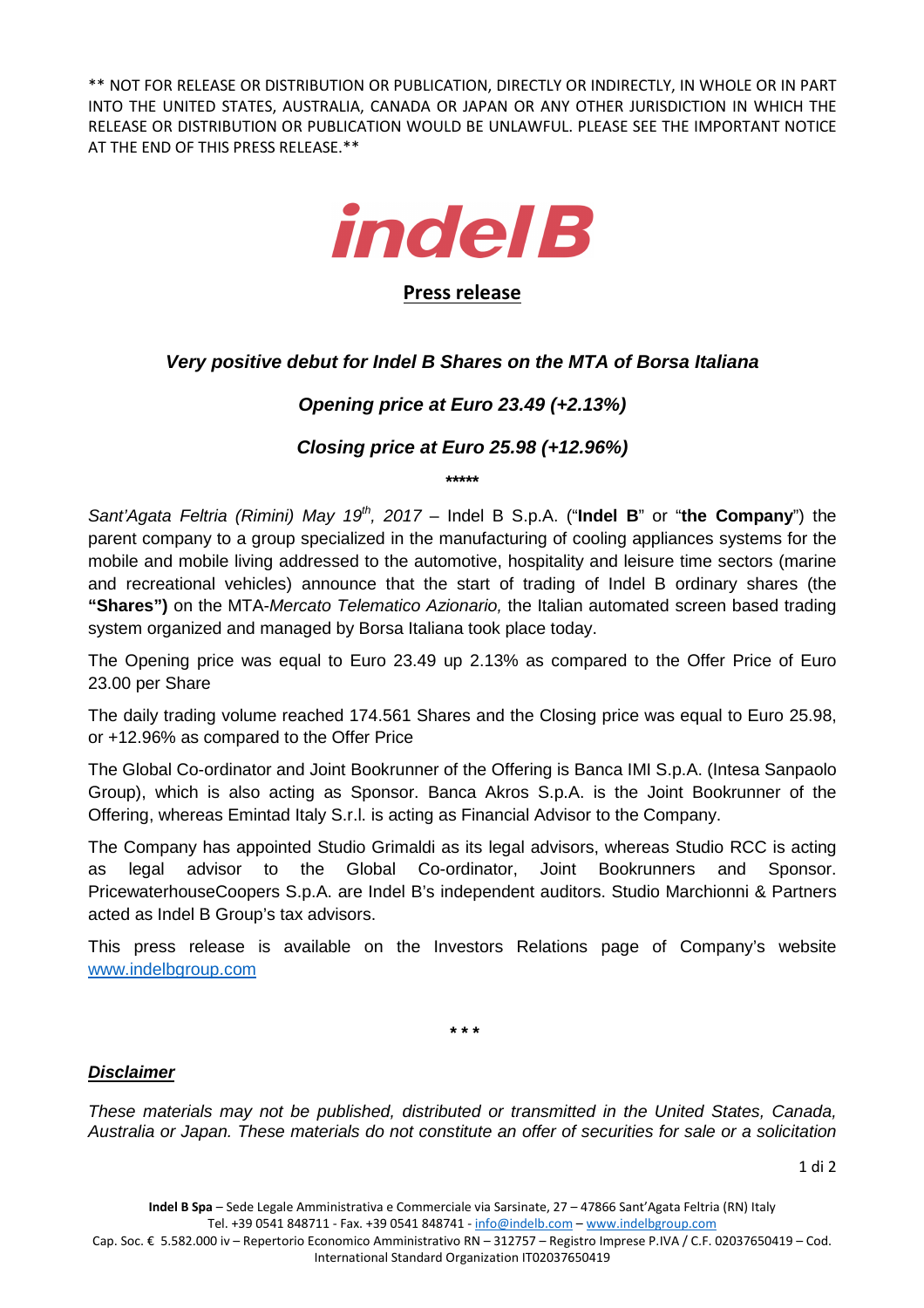\*\* NOT FOR RELEASE OR DISTRIBUTION OR PUBLICATION, DIRECTLY OR INDIRECTLY, IN WHOLE OR IN PART INTO THE UNITED STATES, AUSTRALIA, CANADA OR JAPAN OR ANY OTHER JURISDICTION IN WHICH THE RELEASE OR DISTRIBUTION OR PUBLICATION WOULD BE UNLAWFUL. PLEASE SEE THE IMPORTANT NOTICE AT THE END OF THIS PRESS RELEASE.\*\*



## **Press release**

# **Very positive debut for Indel B Shares on the MTA of Borsa Italiana**

# **Opening price at Euro 23.49 (+2.13%)**

## **Closing price at Euro 25.98 (+12.96%)**

**\*\*\*\*\*** 

Sant'Agata Feltria (Rimini) May 19<sup>th</sup>, 2017 – Indel B S.p.A. ("**Indel B**" or "the Company") the parent company to a group specialized in the manufacturing of cooling appliances systems for the mobile and mobile living addressed to the automotive, hospitality and leisure time sectors (marine and recreational vehicles) announce that the start of trading of Indel B ordinary shares (the **"Shares")** on the MTA-Mercato Telematico Azionario, the Italian automated screen based trading system organized and managed by Borsa Italiana took place today.

The Opening price was equal to Euro 23.49 up 2.13% as compared to the Offer Price of Euro 23.00 per Share

The daily trading volume reached 174.561 Shares and the Closing price was equal to Euro 25.98, or +12.96% as compared to the Offer Price

The Global Co-ordinator and Joint Bookrunner of the Offering is Banca IMI S.p.A. (Intesa Sanpaolo Group), which is also acting as Sponsor. Banca Akros S.p.A. is the Joint Bookrunner of the Offering, whereas Emintad Italy S.r.l. is acting as Financial Advisor to the Company.

The Company has appointed Studio Grimaldi as its legal advisors, whereas Studio RCC is acting as legal advisor to the Global Co-ordinator, Joint Bookrunners and Sponsor. PricewaterhouseCoopers S.p.A. are Indel B's independent auditors. Studio Marchionni & Partners acted as Indel B Group's tax advisors.

This press release is available on the Investors Relations page of Company's website www.indelbgroup.com

**\* \* \***

## **Disclaimer**

These materials may not be published, distributed or transmitted in the United States, Canada, Australia or Japan. These materials do not constitute an offer of securities for sale or a solicitation

Cap. Soc. € 5.582.000 iv – Repertorio Economico Amministrativo RN – 312757 – Registro Imprese P.IVA / C.F. 02037650419 – Cod. International Standard Organization IT02037650419